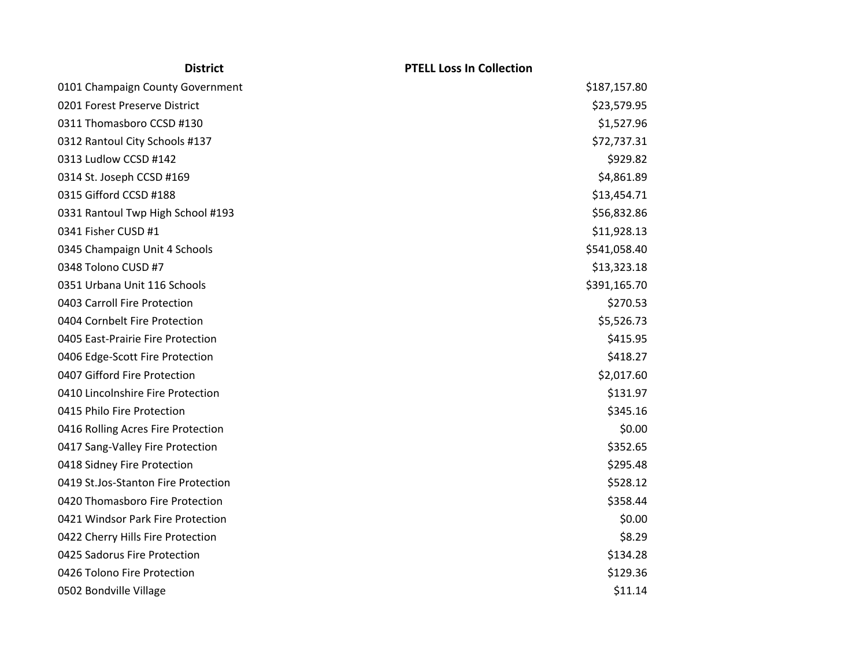| <b>District</b>                     | <b>PTELL Loss In Collection</b> |
|-------------------------------------|---------------------------------|
| 0101 Champaign County Government    | \$187,157.80                    |
| 0201 Forest Preserve District       | \$23,579.95                     |
| 0311 Thomasboro CCSD #130           | \$1,527.96                      |
| 0312 Rantoul City Schools #137      | \$72,737.31                     |
| 0313 Ludlow CCSD #142               | \$929.82                        |
| 0314 St. Joseph CCSD #169           | \$4,861.89                      |
| 0315 Gifford CCSD #188              | \$13,454.71                     |
| 0331 Rantoul Twp High School #193   | \$56,832.86                     |
| 0341 Fisher CUSD #1                 | \$11,928.13                     |
| 0345 Champaign Unit 4 Schools       | \$541,058.40                    |
| 0348 Tolono CUSD #7                 | \$13,323.18                     |
| 0351 Urbana Unit 116 Schools        | \$391,165.70                    |
| 0403 Carroll Fire Protection        | \$270.53                        |
| 0404 Cornbelt Fire Protection       | \$5,526.73                      |
| 0405 East-Prairie Fire Protection   | \$415.95                        |
| 0406 Edge-Scott Fire Protection     | \$418.27                        |
| 0407 Gifford Fire Protection        | \$2,017.60                      |
| 0410 Lincolnshire Fire Protection   | \$131.97                        |
| 0415 Philo Fire Protection          | \$345.16                        |
| 0416 Rolling Acres Fire Protection  | \$0.00                          |
| 0417 Sang-Valley Fire Protection    | \$352.65                        |
| 0418 Sidney Fire Protection         | \$295.48                        |
| 0419 St.Jos-Stanton Fire Protection | \$528.12                        |
| 0420 Thomasboro Fire Protection     | \$358.44                        |
| 0421 Windsor Park Fire Protection   | \$0.00                          |
| 0422 Cherry Hills Fire Protection   | \$8.29                          |
| 0425 Sadorus Fire Protection        | \$134.28                        |
| 0426 Tolono Fire Protection         | \$129.36                        |
| 0502 Bondville Village              | \$11.14                         |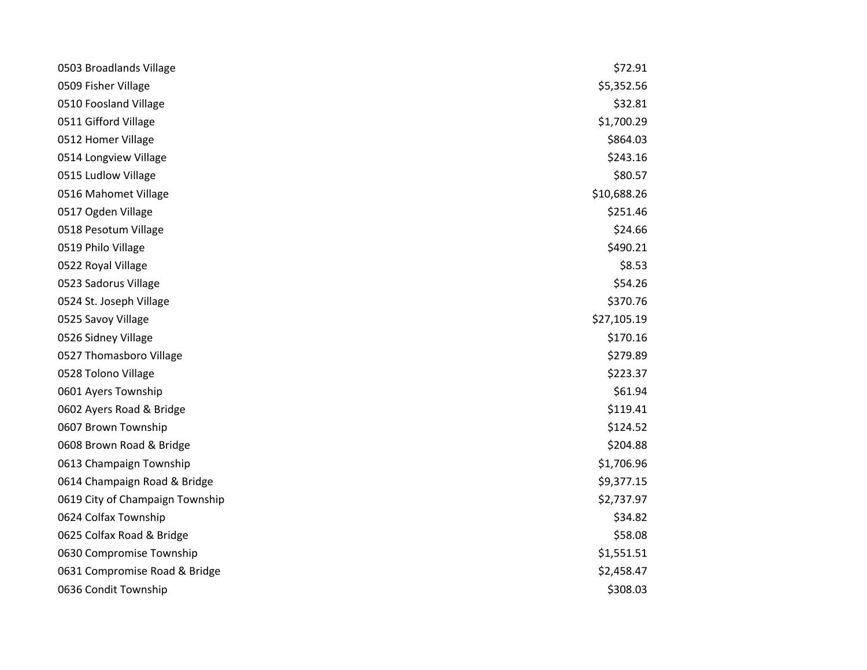| 0503 Broadlands Village         | \$72.91     |
|---------------------------------|-------------|
| 0509 Fisher Village             | \$5,352.56  |
| 0510 Foosland Village           | \$32.81     |
| 0511 Gifford Village            | \$1,700.29  |
| 0512 Homer Village              | \$864.03    |
| 0514 Longview Village           | \$243.16    |
| 0515 Ludlow Village             | \$80.57     |
| 0516 Mahomet Village            | \$10,688.26 |
| 0517 Ogden Village              | \$251.46    |
| 0518 Pesotum Village            | \$24.66     |
| 0519 Philo Village              | \$490.21    |
| 0522 Royal Village              | \$8.53      |
| 0523 Sadorus Village            | \$54.26     |
| 0524 St. Joseph Village         | \$370.76    |
| 0525 Savoy Village              | \$27,105.19 |
| 0526 Sidney Village             | \$170.16    |
| 0527 Thomasboro Village         | \$279.89    |
| 0528 Tolono Village             | \$223.37    |
| 0601 Ayers Township             | \$61.94     |
| 0602 Ayers Road & Bridge        | \$119.41    |
| 0607 Brown Township             | \$124.52    |
| 0608 Brown Road & Bridge        | \$204.88    |
| 0613 Champaign Township         | \$1,706.96  |
| 0614 Champaign Road & Bridge    | \$9,377.15  |
| 0619 City of Champaign Township | \$2,737.97  |
| 0624 Colfax Township            | \$34.82     |
| 0625 Colfax Road & Bridge       | \$58.08     |
| 0630 Compromise Township        | \$1,551.51  |
| 0631 Compromise Road & Bridge   | \$2,458.47  |
| 0636 Condit Township            | \$308.03    |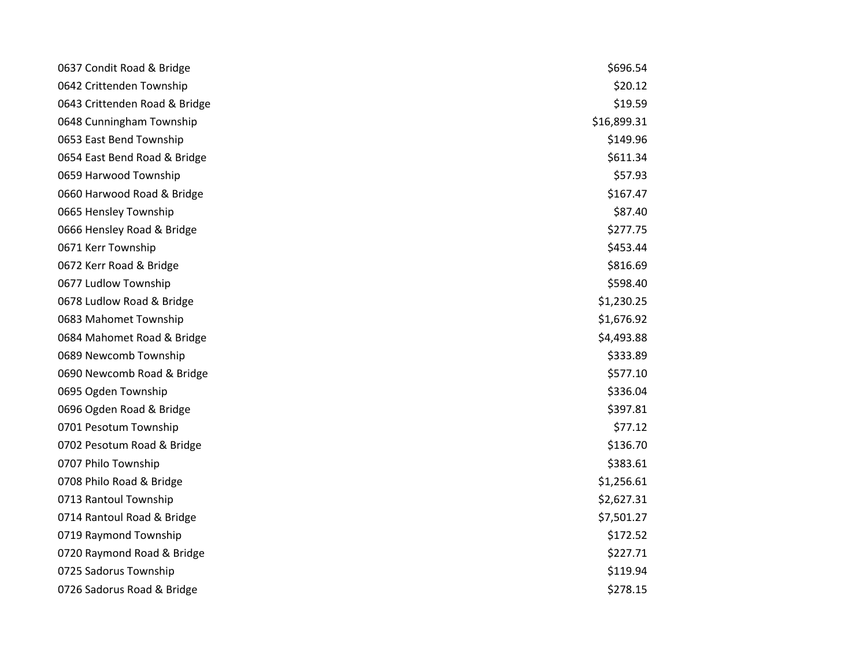| 0637 Condit Road & Bridge     | \$696.54    |
|-------------------------------|-------------|
| 0642 Crittenden Township      | \$20.12     |
| 0643 Crittenden Road & Bridge | \$19.59     |
| 0648 Cunningham Township      | \$16,899.31 |
| 0653 East Bend Township       | \$149.96    |
| 0654 East Bend Road & Bridge  | \$611.34    |
| 0659 Harwood Township         | \$57.93     |
| 0660 Harwood Road & Bridge    | \$167.47    |
| 0665 Hensley Township         | \$87.40     |
| 0666 Hensley Road & Bridge    | \$277.75    |
| 0671 Kerr Township            | \$453.44    |
| 0672 Kerr Road & Bridge       | \$816.69    |
| 0677 Ludlow Township          | \$598.40    |
| 0678 Ludlow Road & Bridge     | \$1,230.25  |
| 0683 Mahomet Township         | \$1,676.92  |
| 0684 Mahomet Road & Bridge    | \$4,493.88  |
| 0689 Newcomb Township         | \$333.89    |
| 0690 Newcomb Road & Bridge    | \$577.10    |
| 0695 Ogden Township           | \$336.04    |
| 0696 Ogden Road & Bridge      | \$397.81    |
| 0701 Pesotum Township         | \$77.12     |
| 0702 Pesotum Road & Bridge    | \$136.70    |
| 0707 Philo Township           | \$383.61    |
| 0708 Philo Road & Bridge      | \$1,256.61  |
| 0713 Rantoul Township         | \$2,627.31  |
| 0714 Rantoul Road & Bridge    | \$7,501.27  |
| 0719 Raymond Township         | \$172.52    |
| 0720 Raymond Road & Bridge    | \$227.71    |
| 0725 Sadorus Township         | \$119.94    |
| 0726 Sadorus Road & Bridge    | \$278.15    |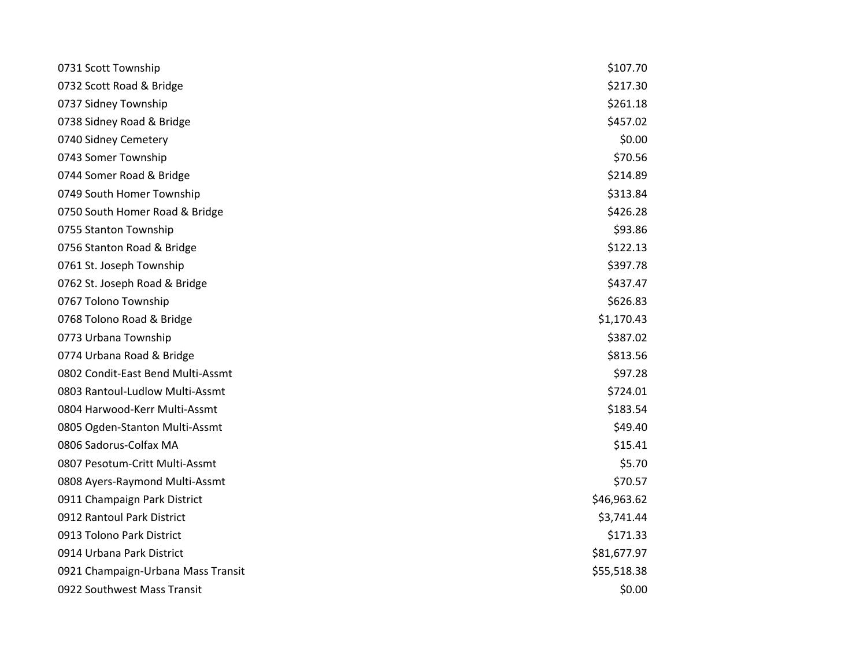| 0731 Scott Township                | \$107.70    |
|------------------------------------|-------------|
| 0732 Scott Road & Bridge           | \$217.30    |
| 0737 Sidney Township               | \$261.18    |
| 0738 Sidney Road & Bridge          | \$457.02    |
| 0740 Sidney Cemetery               | \$0.00      |
| 0743 Somer Township                | \$70.56     |
| 0744 Somer Road & Bridge           | \$214.89    |
| 0749 South Homer Township          | \$313.84    |
| 0750 South Homer Road & Bridge     | \$426.28    |
| 0755 Stanton Township              | \$93.86     |
| 0756 Stanton Road & Bridge         | \$122.13    |
| 0761 St. Joseph Township           | \$397.78    |
| 0762 St. Joseph Road & Bridge      | \$437.47    |
| 0767 Tolono Township               | \$626.83    |
| 0768 Tolono Road & Bridge          | \$1,170.43  |
| 0773 Urbana Township               | \$387.02    |
| 0774 Urbana Road & Bridge          | \$813.56    |
| 0802 Condit-East Bend Multi-Assmt  | \$97.28     |
| 0803 Rantoul-Ludlow Multi-Assmt    | \$724.01    |
| 0804 Harwood-Kerr Multi-Assmt      | \$183.54    |
| 0805 Ogden-Stanton Multi-Assmt     | \$49.40     |
| 0806 Sadorus-Colfax MA             | \$15.41     |
| 0807 Pesotum-Critt Multi-Assmt     | \$5.70      |
| 0808 Ayers-Raymond Multi-Assmt     | \$70.57     |
| 0911 Champaign Park District       | \$46,963.62 |
| 0912 Rantoul Park District         | \$3,741.44  |
| 0913 Tolono Park District          | \$171.33    |
| 0914 Urbana Park District          | \$81,677.97 |
| 0921 Champaign-Urbana Mass Transit | \$55,518.38 |
| 0922 Southwest Mass Transit        | \$0.00      |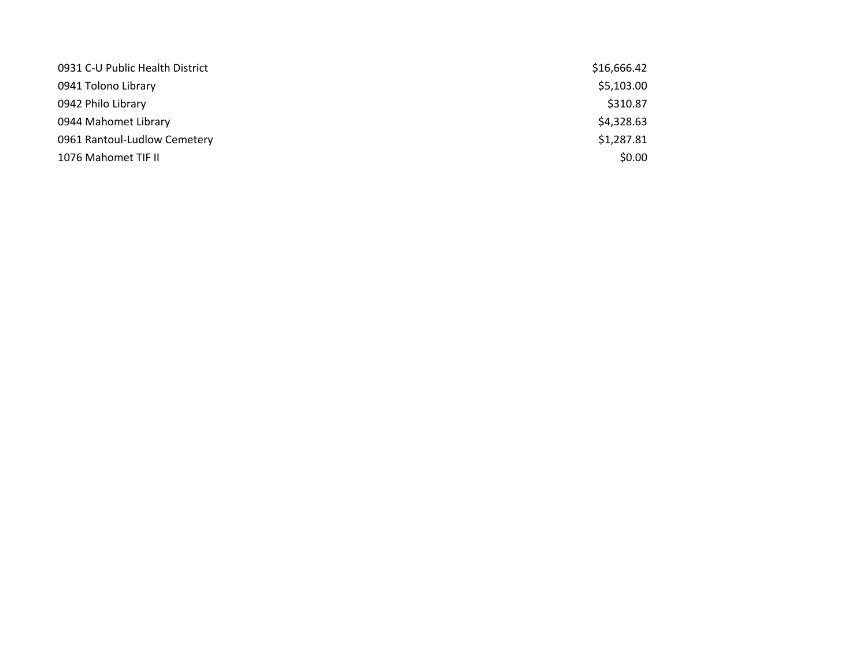| 0931 C-U Public Health District | \$16,666.42 |
|---------------------------------|-------------|
| 0941 Tolono Library             | \$5,103.00  |
| 0942 Philo Library              | \$310.87    |
| 0944 Mahomet Library            | \$4,328.63  |
| 0961 Rantoul-Ludlow Cemetery    | \$1,287.81  |
| 1076 Mahomet TIF II             | \$0.00      |